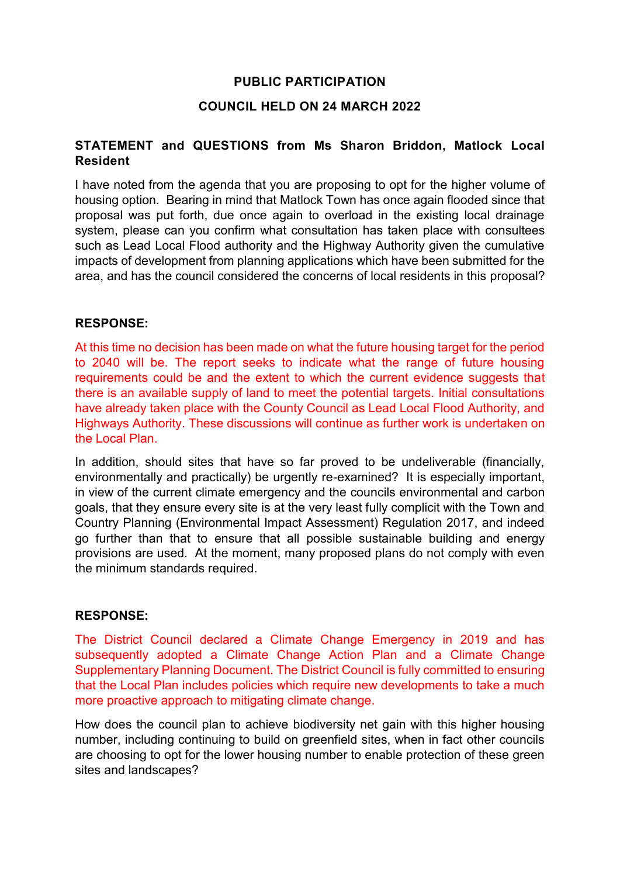### **PUBLIC PARTICIPATION**

### **COUNCIL HELD ON 24 MARCH 2022**

### **STATEMENT and QUESTIONS from Ms Sharon Briddon, Matlock Local Resident**

I have noted from the agenda that you are proposing to opt for the higher volume of housing option. Bearing in mind that Matlock Town has once again flooded since that proposal was put forth, due once again to overload in the existing local drainage system, please can you confirm what consultation has taken place with consultees such as Lead Local Flood authority and the Highway Authority given the cumulative impacts of development from planning applications which have been submitted for the area, and has the council considered the concerns of local residents in this proposal?

#### **RESPONSE:**

At this time no decision has been made on what the future housing target for the period to 2040 will be. The report seeks to indicate what the range of future housing requirements could be and the extent to which the current evidence suggests that there is an available supply of land to meet the potential targets. Initial consultations have already taken place with the County Council as Lead Local Flood Authority, and Highways Authority. These discussions will continue as further work is undertaken on the Local Plan.

In addition, should sites that have so far proved to be undeliverable (financially, environmentally and practically) be urgently re-examined? It is especially important, in view of the current climate emergency and the councils environmental and carbon goals, that they ensure every site is at the very least fully complicit with the Town and Country Planning (Environmental Impact Assessment) Regulation 2017, and indeed go further than that to ensure that all possible sustainable building and energy provisions are used. At the moment, many proposed plans do not comply with even the minimum standards required.

#### **RESPONSE:**

The District Council declared a Climate Change Emergency in 2019 and has subsequently adopted a Climate Change Action Plan and a Climate Change Supplementary Planning Document. The District Council is fully committed to ensuring that the Local Plan includes policies which require new developments to take a much more proactive approach to mitigating climate change.

How does the council plan to achieve biodiversity net gain with this higher housing number, including continuing to build on greenfield sites, when in fact other councils are choosing to opt for the lower housing number to enable protection of these green sites and landscapes?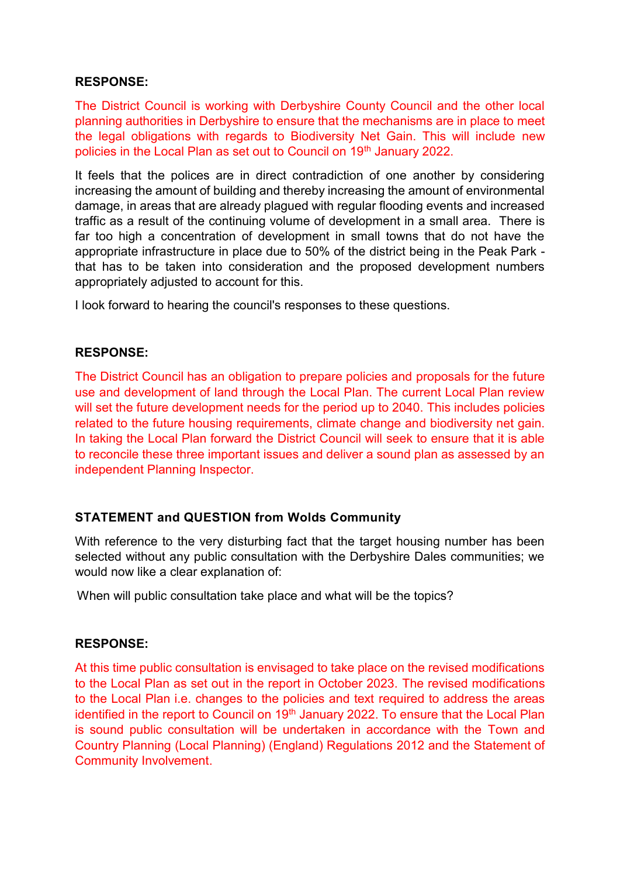### **RESPONSE:**

The District Council is working with Derbyshire County Council and the other local planning authorities in Derbyshire to ensure that the mechanisms are in place to meet the legal obligations with regards to Biodiversity Net Gain. This will include new policies in the Local Plan as set out to Council on 19<sup>th</sup> January 2022.

It feels that the polices are in direct contradiction of one another by considering increasing the amount of building and thereby increasing the amount of environmental damage, in areas that are already plagued with regular flooding events and increased traffic as a result of the continuing volume of development in a small area. There is far too high a concentration of development in small towns that do not have the appropriate infrastructure in place due to 50% of the district being in the Peak Park that has to be taken into consideration and the proposed development numbers appropriately adjusted to account for this.

I look forward to hearing the council's responses to these questions.

#### **RESPONSE:**

The District Council has an obligation to prepare policies and proposals for the future use and development of land through the Local Plan. The current Local Plan review will set the future development needs for the period up to 2040. This includes policies related to the future housing requirements, climate change and biodiversity net gain. In taking the Local Plan forward the District Council will seek to ensure that it is able to reconcile these three important issues and deliver a sound plan as assessed by an independent Planning Inspector.

## **STATEMENT and QUESTION from Wolds Community**

With reference to the very disturbing fact that the target housing number has been selected without any public consultation with the Derbyshire Dales communities; we would now like a clear explanation of:

When will public consultation take place and what will be the topics?

#### **RESPONSE:**

At this time public consultation is envisaged to take place on the revised modifications to the Local Plan as set out in the report in October 2023. The revised modifications to the Local Plan i.e. changes to the policies and text required to address the areas identified in the report to Council on 19<sup>th</sup> January 2022. To ensure that the Local Plan is sound public consultation will be undertaken in accordance with the Town and Country Planning (Local Planning) (England) Regulations 2012 and the Statement of Community Involvement.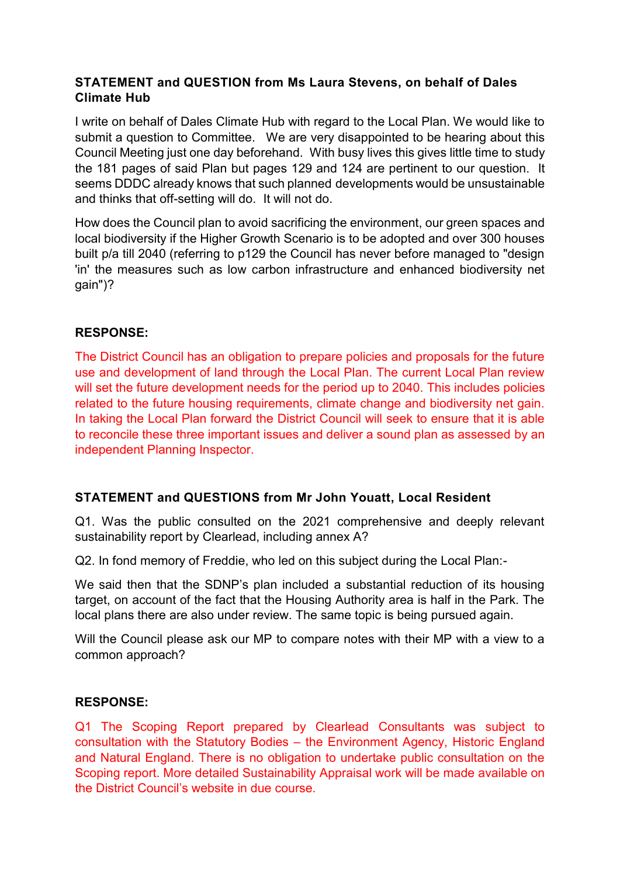## **STATEMENT and QUESTION from Ms Laura Stevens, on behalf of Dales Climate Hub**

I write on behalf of Dales Climate Hub with regard to the Local Plan. We would like to submit a question to Committee. We are very disappointed to be hearing about this Council Meeting just one day beforehand. With busy lives this gives little time to study the 181 pages of said Plan but pages 129 and 124 are pertinent to our question. It seems DDDC already knows that such planned developments would be unsustainable and thinks that off-setting will do. It will not do.

How does the Council plan to avoid sacrificing the environment, our green spaces and local biodiversity if the Higher Growth Scenario is to be adopted and over 300 houses built p/a till 2040 (referring to p129 the Council has never before managed to "design 'in' the measures such as low carbon infrastructure and enhanced biodiversity net gain")?

# **RESPONSE:**

The District Council has an obligation to prepare policies and proposals for the future use and development of land through the Local Plan. The current Local Plan review will set the future development needs for the period up to 2040. This includes policies related to the future housing requirements, climate change and biodiversity net gain. In taking the Local Plan forward the District Council will seek to ensure that it is able to reconcile these three important issues and deliver a sound plan as assessed by an independent Planning Inspector.

## **STATEMENT and QUESTIONS from Mr John Youatt, Local Resident**

Q1. Was the public consulted on the 2021 comprehensive and deeply relevant sustainability report by Clearlead, including annex A?

Q2. In fond memory of Freddie, who led on this subject during the Local Plan:-

We said then that the SDNP's plan included a substantial reduction of its housing target, on account of the fact that the Housing Authority area is half in the Park. The local plans there are also under review. The same topic is being pursued again.

Will the Council please ask our MP to compare notes with their MP with a view to a common approach?

## **RESPONSE:**

Q1 The Scoping Report prepared by Clearlead Consultants was subject to consultation with the Statutory Bodies – the Environment Agency, Historic England and Natural England. There is no obligation to undertake public consultation on the Scoping report. More detailed Sustainability Appraisal work will be made available on the District Council's website in due course.